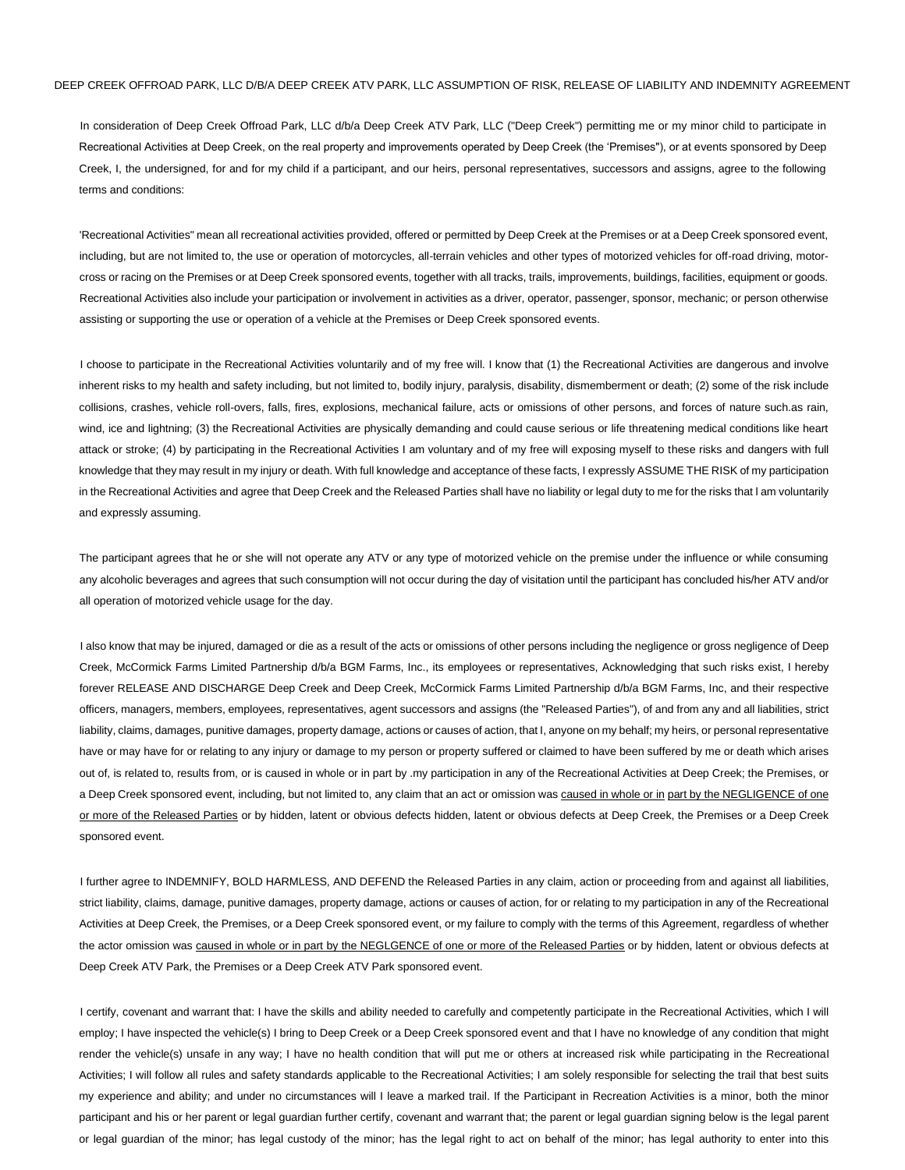In consideration of Deep Creek Offroad Park, LLC d/b/a Deep Creek ATV Park, LLC ("Deep Creek") permitting me or my minor child to participate in Recreational Activities at Deep Creek, on the real property and improvements operated by Deep Creek (the 'Premises"), or at events sponsored by Deep Creek, I, the undersigned, for and for my child if a participant, and our heirs, personal representatives, successors and assigns, agree to the following terms and conditions:

'Recreational Activities" mean all recreational activities provided, offered or permitted by Deep Creek at the Premises or at a Deep Creek sponsored event, including, but are not limited to, the use or operation of motorcycles, all-terrain vehicles and other types of motorized vehicles for off-road driving, motorcross or racing on the Premises or at Deep Creek sponsored events, together with all tracks, trails, improvements, buildings, facilities, equipment or goods. Recreational Activities also include your participation or involvement in activities as a driver, operator, passenger, sponsor, mechanic; or person otherwise assisting or supporting the use or operation of a vehicle at the Premises or Deep Creek sponsored events.

I choose to participate in the Recreational Activities voluntarily and of my free will. I know that (1) the Recreational Activities are dangerous and involve inherent risks to my health and safety including, but not limited to, bodily injury, paralysis, disability, dismemberment or death; (2) some of the risk include collisions, crashes, vehicle roll-overs, falls, fires, explosions, mechanical failure, acts or omissions of other persons, and forces of nature such.as rain, wind, ice and lightning; (3) the Recreational Activities are physically demanding and could cause serious or life threatening medical conditions like heart attack or stroke; (4) by participating in the Recreational Activities I am voluntary and of my free will exposing myself to these risks and dangers with full knowledge that they may result in my injury or death. With full knowledge and acceptance of these facts, I expressly ASSUME THE RISK of my participation in the Recreational Activities and agree that Deep Creek and the Released Parties shall have no liability or legal duty to me for the risks that I am voluntarily and expressly assuming.

The participant agrees that he or she will not operate any ATV or any type of motorized vehicle on the premise under the influence or while consuming any alcoholic beverages and agrees that such consumption will not occur during the day of visitation until the participant has concluded his/her ATV and/or all operation of motorized vehicle usage for the day.

I also know that may be injured, damaged or die as a result of the acts or omissions of other persons including the negligence or gross negligence of Deep Creek, McCormick Farms Limited Partnership d/b/a BGM Farms, Inc., its employees or representatives, Acknowledging that such risks exist, I hereby forever RELEASE AND DISCHARGE Deep Creek and Deep Creek, McCormick Farms Limited Partnership d/b/a BGM Farms, Inc, and their respective officers, managers, members, employees, representatives, agent successors and assigns (the "Released Parties"), of and from any and all liabilities, strict liability, claims, damages, punitive damages, property damage, actions or causes of action, that I, anyone on my behalf; my heirs, or personal representative have or may have for or relating to any injury or damage to my person or property suffered or claimed to have been suffered by me or death which arises out of, is related to, results from, or is caused in whole or in part by .my participation in any of the Recreational Activities at Deep Creek; the Premises, or a Deep Creek sponsored event, including, but not limited to, any claim that an act or omission was caused in whole or in part by the NEGLIGENCE of one or more of the Released Parties or by hidden, latent or obvious defects hidden, latent or obvious defects at Deep Creek, the Premises or a Deep Creek sponsored event.

I further agree to INDEMNIFY, BOLD HARMLESS, AND DEFEND the Released Parties in any claim, action or proceeding from and against all liabilities, strict liability, claims, damage, punitive damages, property damage, actions or causes of action, for or relating to my participation in any of the Recreational Activities at Deep Creek, the Premises, or a Deep Creek sponsored event, or my failure to comply with the terms of this Agreement, regardless of whether the actor omission was caused in whole or in part by the NEGLGENCE of one or more of the Released Parties or by hidden, latent or obvious defects at Deep Creek ATV Park, the Premises or a Deep Creek ATV Park sponsored event.

I certify, covenant and warrant that: I have the skills and ability needed to carefully and competently participate in the Recreational Activities, which I will employ; I have inspected the vehicle(s) I bring to Deep Creek or a Deep Creek sponsored event and that I have no knowledge of any condition that might render the vehicle(s) unsafe in any way; I have no health condition that will put me or others at increased risk while participating in the Recreational Activities; I will follow all rules and safety standards applicable to the Recreational Activities; I am solely responsible for selecting the trail that best suits my experience and ability; and under no circumstances will I leave a marked trail. If the Participant in Recreation Activities is a minor, both the minor participant and his or her parent or legal guardian further certify, covenant and warrant that; the parent or legal guardian signing below is the legal parent or legal guardian of the minor; has legal custody of the minor; has the legal right to act on behalf of the minor; has legal authority to enter into this